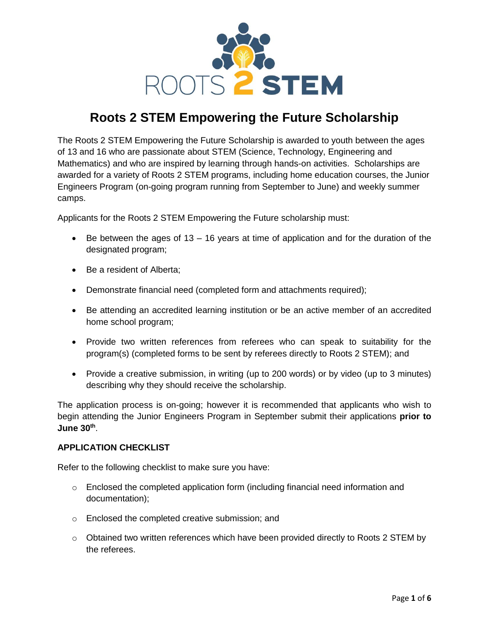

# **Roots 2 STEM Empowering the Future Scholarship**

The Roots 2 STEM Empowering the Future Scholarship is awarded to youth between the ages of 13 and 16 who are passionate about STEM (Science, Technology, Engineering and Mathematics) and who are inspired by learning through hands-on activities. Scholarships are awarded for a variety of Roots 2 STEM programs, including home education courses, the Junior Engineers Program (on-going program running from September to June) and weekly summer camps.

Applicants for the Roots 2 STEM Empowering the Future scholarship must:

- $\bullet$  Be between the ages of 13 16 years at time of application and for the duration of the designated program;
- Be a resident of Alberta;
- Demonstrate financial need (completed form and attachments required);
- Be attending an accredited learning institution or be an active member of an accredited home school program;
- Provide two written references from referees who can speak to suitability for the program(s) (completed forms to be sent by referees directly to Roots 2 STEM); and
- Provide a creative submission, in writing (up to 200 words) or by video (up to 3 minutes) describing why they should receive the scholarship.

The application process is on-going; however it is recommended that applicants who wish to begin attending the Junior Engineers Program in September submit their applications **prior to June 30th** .

### **APPLICATION CHECKLIST**

Refer to the following checklist to make sure you have:

- o Enclosed the completed application form (including financial need information and documentation);
- o Enclosed the completed creative submission; and
- $\circ$  Obtained two written references which have been provided directly to Roots 2 STEM by the referees.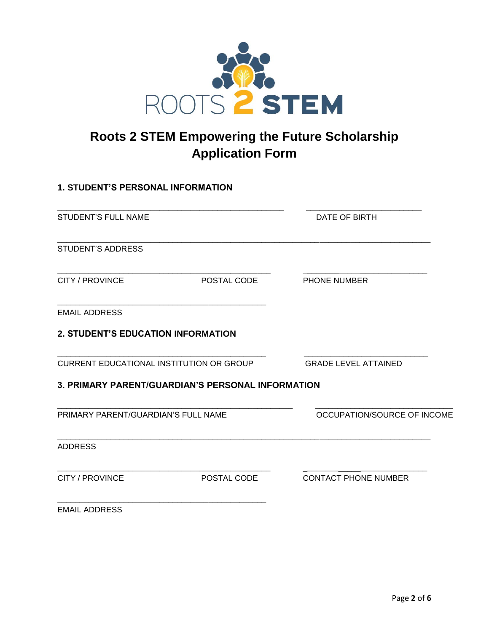

# **Roots 2 STEM Empowering the Future Scholarship Application Form**

# **1. STUDENT'S PERSONAL INFORMATION** \_\_\_\_\_\_\_\_\_\_\_\_\_\_\_\_\_\_\_\_\_\_\_\_\_\_\_\_\_\_\_\_\_\_\_\_\_\_\_\_\_\_\_\_\_\_\_\_\_\_\_ \_\_\_\_\_\_\_\_\_\_\_\_\_\_\_\_\_\_\_\_\_\_\_\_\_\_ STUDENT'S FULL NAME **EXECUTE:** THE STUDENT'S FULL NAME \_\_\_\_\_\_\_\_\_\_\_\_\_\_\_\_\_\_\_\_\_\_\_\_\_\_\_\_\_\_\_\_\_\_\_\_\_\_\_\_\_\_\_\_\_\_\_\_\_\_\_\_\_\_\_\_\_\_\_\_\_\_\_\_\_\_\_\_\_\_\_\_\_\_\_\_\_\_\_\_\_\_\_\_ STUDENT'S ADDRESS **\_\_\_\_\_\_\_\_\_\_\_\_\_\_\_\_\_\_\_\_\_\_\_\_\_\_\_\_\_\_\_\_\_\_\_\_\_\_\_\_\_\_\_\_\_\_\_\_** \_**\_\_\_\_\_\_\_**\_\_\_\_\_**\_\_\_\_\_\_\_\_\_\_\_\_\_\_\_** CITY / PROVINCE POSTAL CODE PHONE NUMBER **\_\_\_\_\_\_\_\_\_\_\_\_\_\_\_\_\_\_\_\_\_\_\_\_\_\_\_\_\_\_\_\_\_\_\_\_\_\_\_\_\_\_\_\_\_\_\_** EMAIL ADDRESS **2. STUDENT'S EDUCATION INFORMATION \_\_\_\_\_\_\_\_\_\_\_\_\_\_\_\_\_\_\_\_\_\_\_\_\_\_\_\_\_\_\_\_\_\_\_\_\_\_\_\_\_\_\_\_\_\_\_ \_\_\_\_\_\_\_\_\_\_\_\_\_\_\_\_\_\_\_\_\_\_\_\_\_\_\_\_** CURRENT EDUCATIONAL INSTITUTION OR GROUP GRADE LEVEL ATTAINED **3. PRIMARY PARENT/GUARDIAN'S PERSONAL INFORMATION** \_\_\_\_\_\_\_\_\_\_\_\_\_\_\_\_\_\_\_\_\_\_\_\_\_\_\_\_\_\_\_\_\_\_\_\_\_\_\_\_\_\_\_\_\_\_\_\_\_\_\_\_\_ \_\_\_\_\_\_\_\_\_\_\_\_\_\_\_\_\_\_\_\_\_\_\_\_\_\_\_\_\_\_\_ PRIMARY PARENT/GUARDIAN'S FULL NAME **OCCUPATION/SOURCE OF INCOME** \_\_\_\_\_\_\_\_\_\_\_\_\_\_\_\_\_\_\_\_\_\_\_\_\_\_\_\_\_\_\_\_\_\_\_\_\_\_\_\_\_\_\_\_\_\_\_\_\_\_\_\_\_\_\_\_\_\_\_\_\_\_\_\_\_\_\_\_\_\_\_\_\_\_\_\_\_\_\_\_\_\_\_\_ ADDRESS **\_\_\_\_\_\_\_\_\_\_\_\_\_\_\_\_\_\_\_\_\_\_\_\_\_\_\_\_\_\_\_\_\_\_\_\_\_\_\_\_\_\_\_\_\_\_\_\_** \_**\_\_\_\_\_\_\_**\_\_\_\_\_**\_\_\_\_\_\_\_\_\_\_\_\_\_\_\_**

CITY / PROVINCE POSTAL CODE CONTACT PHONE NUMBER

**\_\_\_\_\_\_\_\_\_\_\_\_\_\_\_\_\_\_\_\_\_\_\_\_\_\_\_\_\_\_\_\_\_\_\_\_\_\_\_\_\_\_\_\_\_\_\_** EMAIL ADDRESS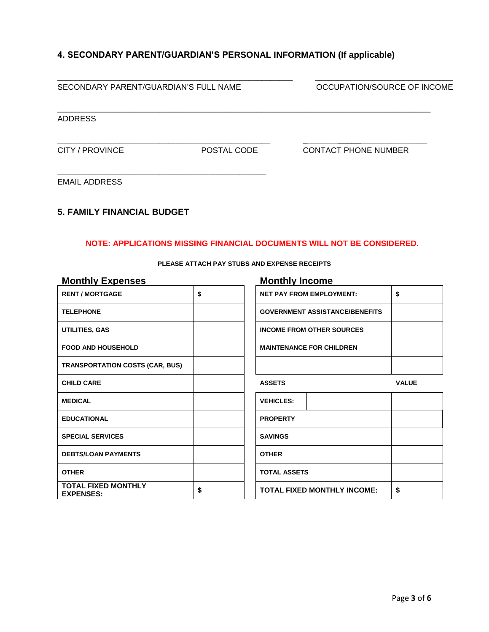## **4. SECONDARY PARENT/GUARDIAN'S PERSONAL INFORMATION (If applicable)**

| SECONDARY PARENT/GUARDIAN'S FULL NAME |             | OCCUPATION/SOURCE OF INCOME |  |
|---------------------------------------|-------------|-----------------------------|--|
| <b>ADDRESS</b>                        |             |                             |  |
| CITY / PROVINCE                       | POSTAL CODE | <b>CONTACT PHONE NUMBER</b> |  |
| <b>EMAIL ADDRESS</b>                  |             |                             |  |

### **5. FAMILY FINANCIAL BUDGET**

#### **NOTE: APPLICATIONS MISSING FINANCIAL DOCUMENTS WILL NOT BE CONSIDERED.**

| <b>Monthly Expenses</b>                        | <b>Monthly Income</b>                          |              |  |
|------------------------------------------------|------------------------------------------------|--------------|--|
| <b>RENT / MORTGAGE</b>                         | \$<br><b>NET PAY FROM EMPLOYMENT:</b>          | \$           |  |
| <b>TELEPHONE</b>                               | <b>GOVERNMENT ASSISTANCE/BENEFITS</b>          |              |  |
| UTILITIES, GAS                                 | <b>INCOME FROM OTHER SOURCES</b>               |              |  |
| <b>FOOD AND HOUSEHOLD</b>                      | <b>MAINTENANCE FOR CHILDREN</b>                |              |  |
| <b>TRANSPORTATION COSTS (CAR, BUS)</b>         |                                                |              |  |
| <b>CHILD CARE</b>                              | <b>ASSETS</b>                                  | <b>VALUE</b> |  |
| <b>MEDICAL</b>                                 | <b>VEHICLES:</b>                               |              |  |
| <b>EDUCATIONAL</b>                             | <b>PROPERTY</b>                                |              |  |
| <b>SPECIAL SERVICES</b>                        | <b>SAVINGS</b>                                 |              |  |
| <b>DEBTS/LOAN PAYMENTS</b>                     | <b>OTHER</b>                                   |              |  |
| <b>OTHER</b>                                   | <b>TOTAL ASSETS</b>                            |              |  |
| <b>TOTAL FIXED MONTHLY</b><br><b>EXPENSES:</b> | \$<br><b>TOTAL FIXED MONTHLY INCOME:</b><br>\$ |              |  |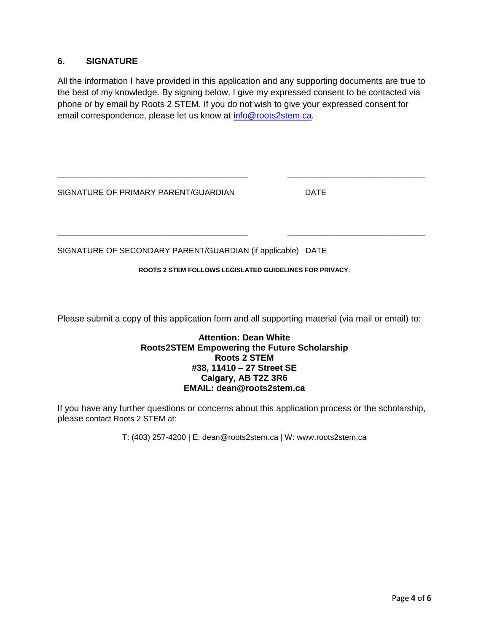## **6. SIGNATURE**

All the information I have provided in this application and any supporting documents are true to the best of my knowledge. By signing below, I give my expressed consent to be contacted via phone or by email by Roots 2 STEM. If you do not wish to give your expressed consent for email correspondence, please let us know at [info@roots2stem.ca.](mailto:info@roots2stem.ca)

**\_\_\_\_\_\_\_\_\_\_\_\_\_\_\_\_\_\_\_\_\_\_\_\_\_\_\_\_\_\_\_\_\_\_\_\_\_\_\_\_\_\_\_ \_\_\_\_\_\_\_\_\_\_\_\_\_\_\_\_\_\_\_\_\_\_\_\_\_\_\_\_\_\_\_**

SIGNATURE OF PRIMARY PARENT/GUARDIAN DATE

SIGNATURE OF SECONDARY PARENT/GUARDIAN (if applicable) DATE

#### **ROOTS 2 STEM FOLLOWS LEGISLATED GUIDELINES FOR PRIVACY.**

**\_\_\_\_\_\_\_\_\_\_\_\_\_\_\_\_\_\_\_\_\_\_\_\_\_\_\_\_\_\_\_\_\_\_\_\_\_\_\_\_\_\_\_ \_\_\_\_\_\_\_\_\_\_\_\_\_\_\_\_\_\_\_\_\_\_\_\_\_\_\_\_\_\_\_**

Please submit a copy of this application form and all supporting material (via mail or email) to:

### **Attention: Dean White Roots2STEM Empowering the Future Scholarship Roots 2 STEM #38, 11410 – 27 Street SE Calgary, AB T2Z 3R6 EMAIL: dean@roots2stem.ca**

If you have any further questions or concerns about this application process or the scholarship, please contact Roots 2 STEM at:

T: (403) 257-4200 | E: dean@roots2stem.ca | W: www.roots2stem.ca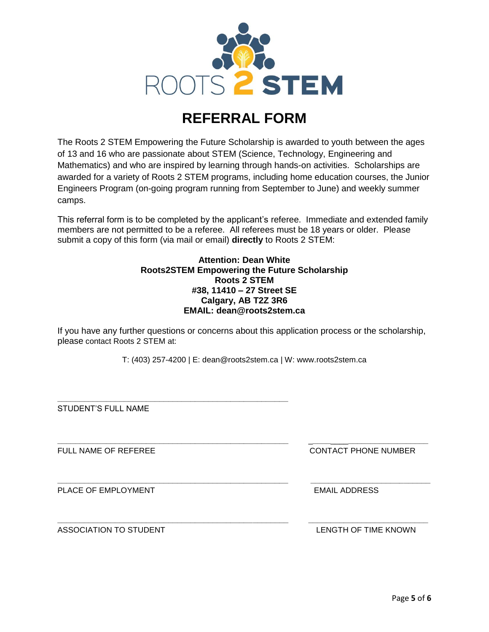

# **REFERRAL FORM**

The Roots 2 STEM Empowering the Future Scholarship is awarded to youth between the ages of 13 and 16 who are passionate about STEM (Science, Technology, Engineering and Mathematics) and who are inspired by learning through hands-on activities. Scholarships are awarded for a variety of Roots 2 STEM programs, including home education courses, the Junior Engineers Program (on-going program running from September to June) and weekly summer camps.

This referral form is to be completed by the applicant's referee. Immediate and extended family members are not permitted to be a referee. All referees must be 18 years or older. Please submit a copy of this form (via mail or email) **directly** to Roots 2 STEM:

#### **Attention: Dean White Roots2STEM Empowering the Future Scholarship Roots 2 STEM #38, 11410 – 27 Street SE Calgary, AB T2Z 3R6 EMAIL: dean@roots2stem.ca**

If you have any further questions or concerns about this application process or the scholarship, please contact Roots 2 STEM at:

T: (403) 257-4200 | E: dean@roots2stem.ca | W: www.roots2stem.ca

**\_\_\_\_\_\_\_\_\_\_\_\_\_\_\_\_\_\_\_\_\_\_\_\_\_\_\_\_\_\_\_\_\_\_\_\_\_\_\_\_\_\_\_\_\_\_\_\_\_\_\_\_** \_**\_\_\_\_**\_\_\_\_**\_\_\_\_\_\_\_\_\_\_\_\_\_\_\_\_\_\_**

**\_\_\_\_\_\_\_\_\_\_\_\_\_\_\_\_\_\_\_\_\_\_\_\_\_\_\_\_\_\_\_\_\_\_\_\_\_\_\_\_\_\_\_\_\_\_\_\_\_\_\_\_ \_\_\_\_\_\_\_\_\_\_\_\_\_\_\_\_\_\_\_\_\_\_\_\_\_\_\_**

**\_\_\_\_\_\_\_\_\_\_\_\_\_\_\_\_\_\_\_\_\_\_\_\_\_\_\_\_\_\_\_\_\_\_\_\_\_\_\_\_\_\_\_\_\_\_\_\_\_\_\_\_ \_\_\_\_\_\_\_\_\_\_\_\_\_\_\_\_\_\_\_\_\_\_\_\_\_\_\_**

STUDENT'S FULL NAME

**\_\_\_\_\_\_\_\_\_\_\_\_\_\_\_\_\_\_\_\_\_\_\_\_\_\_\_\_\_\_\_\_\_\_\_\_\_\_\_\_\_\_\_\_\_\_\_\_\_\_\_\_**

PLACE OF EMPLOYMENT EMAIL ADDRESS

ASSOCIATION TO STUDENT LENGTH OF TIME KNOWN

FULL NAME OF REFEREE THE CONTACT PHONE NUMBER